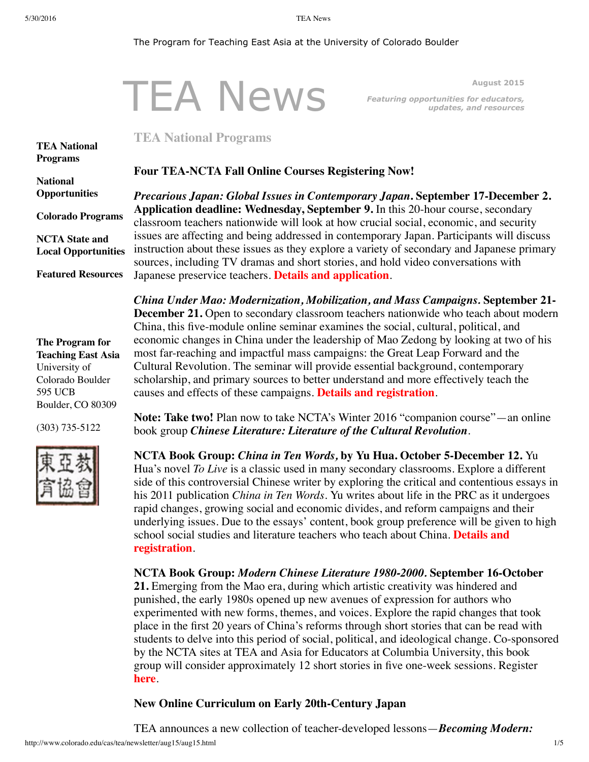595 UCB

Boulder, CO 80309

(303) 735-5122

#### <span id="page-0-0"></span>The Program for Teaching East Asia at the University of Colorado Boulder

#### TEA News **August 2015** *Featuring opportunities for educators, updates, and resources* **TEA National [Programs](#page-0-0) National [Opportunities](#page-1-0) Colorado [Programs](#page-2-0) NCTA State and Local [Opportunities](#page-2-1) Featured [Resources](#page-3-0) The Program for Teaching East Asia** University of Colorado Boulder **TEA National Programs Four TEA-NCTA Fall Online Courses Registering Now!** *Precarious Japan: Global Issues in Contemporary Japan***. September 17-December 2. Application deadline: Wednesday, September 9.** In this 20-hour course, secondary classroom teachers nationwide will look at how crucial social, economic, and security issues are affecting and being addressed in contemporary Japan. Participants will discuss instruction about these issues as they explore a variety of secondary and Japanese primary sources, including TV dramas and short stories, and hold video conversations with Japanese preservice teachers. **Details and [application](http://www.colorado.edu/cas/tea/ncta/downloads/ContempJP2015courseflyer.pdf)**. *China Under Mao: Modernization, Mobilization, and Mass Campaigns.* **September 21- December 21.** Open to secondary classroom teachers nationwide who teach about modern China, this five-module online seminar examines the social, cultural, political, and economic changes in China under the leadership of Mao Zedong by looking at two of his most far-reaching and impactful mass campaigns: the Great Leap Forward and the Cultural Revolution. The seminar will provide essential background, contemporary

scholarship, and primary sources to better understand and more effectively teach the causes and effects of these campaigns. **Details and [registration](http://www.colorado.edu/cas/tea/ncta/downloads/ChinaUnderMao_Flyer_Fall_2015.pdf)**.

**Note: Take two!** Plan now to take NCTA's Winter 2016 "companion course"—an online book group *Chinese Literature: Literature of the Cultural Revolution*.

**NCTA Book Group:** *China in Ten Words,* **by Yu Hua. October 5-December 12.** Yu Hua's novel *To Live* is a classic used in many secondary classrooms. Explore a different side of this controversial Chinese writer by exploring the critical and contentious essays in his 2011 publication *China in Ten Words*. Yu writes about life in the PRC as it undergoes rapid changes, growing social and economic divides, and reform campaigns and their underlying issues. Due to the essays' content, book group preference will be given to high school social studies and literature teachers who teach about China. **Details and [registration](http://www.colorado.edu/cas/tea/ncta/downloads/NCTA_Book_Group_China_Ten_Words.pdf)**.

#### **NCTA Book Group:** *Modern Chinese Literature 1980-2000.* **September 16-October**

**21.** Emerging from the Mao era, during which artistic creativity was hindered and punished, the early 1980s opened up new avenues of expression for authors who experimented with new forms, themes, and voices. Explore the rapid changes that took place in the first 20 years of China's reforms through short stories that can be read with students to delve into this period of social, political, and ideological change. Co-sponsored by the NCTA sites at TEA and Asia for Educators at Columbia University, this book group will consider approximately 12 short stories in five one-week sessions. Register **[here](http://asiaforeducators.org/login/index.php)**.

## **New Online Curriculum on Early 20th-Century Japan**

TEA announces a new collection of teacher-developed lessons—*Becoming Modern:*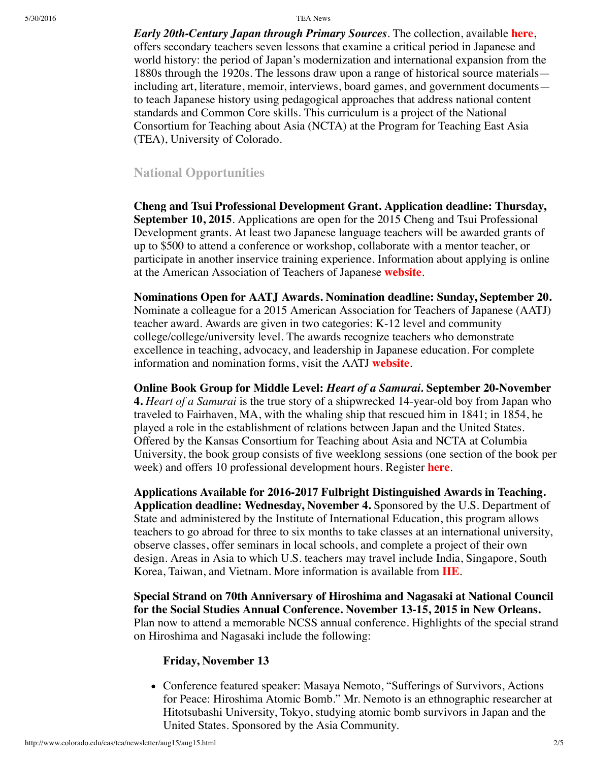5/30/2016 TEA News

*Early 20th-Century Japan through Primary Sources*. The collection, available **[here](http://www.colorado.edu/cas/tea/becoming-modern/)**, offers secondary teachers seven lessons that examine a critical period in Japanese and world history: the period of Japan's modernization and international expansion from the 1880s through the 1920s. The lessons draw upon a range of historical source materials including art, literature, memoir, interviews, board games, and government documents to teach Japanese history using pedagogical approaches that address national content standards and Common Core skills. This curriculum is a project of the National Consortium for Teaching about Asia (NCTA) at the Program for Teaching East Asia (TEA), University of Colorado.

# <span id="page-1-0"></span>**National Opportunities**

**Cheng and Tsui Professional Development Grant. Application deadline: Thursday, September 10, 2015**. Applications are open for the 2015 Cheng and Tsui Professional Development grants. At least two Japanese language teachers will be awarded grants of up to \$500 to attend a conference or workshop, collaborate with a mentor teacher, or participate in another inservice training experience. Information about applying is online at the American Association of Teachers of Japanese **[website](http://www.aatj.org/prodev-cheng-and-tsui)**.

**Nominations Open for AATJ Awards. Nomination deadline: Sunday, September 20.** Nominate a colleague for a 2015 American Association for Teachers of Japanese (AATJ) teacher award. Awards are given in two categories: K-12 level and community college/college/university level. The awards recognize teachers who demonstrate excellence in teaching, advocacy, and leadership in Japanese education. For complete information and nomination forms, visit the AATJ **[website](http://www.aatj.org/prodev-awards-recipients)**.

**Online Book Group for Middle Level:** *Heart of a Samurai.* **September 20-November 4.** *Heart of a Samurai* is the true story of a shipwrecked 14-year-old boy from Japan who traveled to Fairhaven, MA, with the whaling ship that rescued him in 1841; in 1854, he played a role in the establishment of relations between Japan and the United States. Offered by the Kansas Consortium for Teaching about Asia and NCTA at Columbia University, the book group consists of five weeklong sessions (one section of the book per week) and offers 10 professional development hours. Register **[here](http://asiaforeducators.org/login/index.php)**.

**Applications Available for 2016-2017 Fulbright Distinguished Awards in Teaching. Application deadline: Wednesday, November 4.** Sponsored by the U.S. Department of State and administered by the Institute of International Education, this program allows teachers to go abroad for three to six months to take classes at an international university, observe classes, offer seminars in local schools, and complete a project of their own design. Areas in Asia to which U.S. teachers may travel include India, Singapore, South Korea, Taiwan, and Vietnam. More information is available from **[IIE](http://www.iie.org/en/Programs/Fulbright-Awards-In-Teaching)**.

**Special Strand on 70th Anniversary of Hiroshima and Nagasaki at National Council for the Social Studies Annual Conference. November 13-15, 2015 in New Orleans.** Plan now to attend a memorable NCSS annual conference. Highlights of the special strand on Hiroshima and Nagasaki include the following:

## **Friday, November 13**

Conference featured speaker: Masaya Nemoto, "Sufferings of Survivors, Actions for Peace: Hiroshima Atomic Bomb." Mr. Nemoto is an ethnographic researcher at Hitotsubashi University, Tokyo, studying atomic bomb survivors in Japan and the United States. Sponsored by the Asia Community.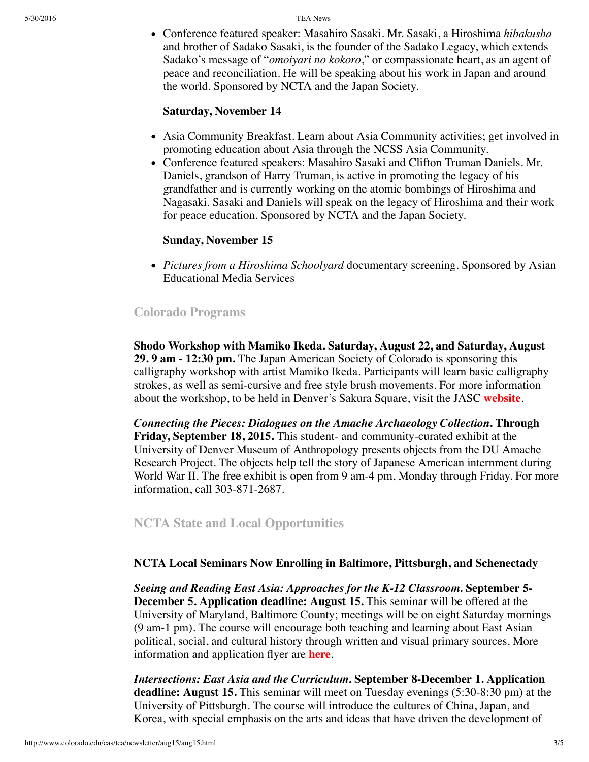5/30/2016 TEA News

Conference featured speaker: Masahiro Sasaki. Mr. Sasaki, a Hiroshima *hibakusha* and brother of Sadako Sasaki, is the founder of the Sadako Legacy, which extends Sadako's message of "*omoiyari no kokoro*," or compassionate heart, as an agent of peace and reconciliation. He will be speaking about his work in Japan and around the world. Sponsored by NCTA and the Japan Society.

## **Saturday, November 14**

- Asia Community Breakfast. Learn about Asia Community activities; get involved in promoting education about Asia through the NCSS Asia Community.
- Conference featured speakers: Masahiro Sasaki and Clifton Truman Daniels. Mr. Daniels, grandson of Harry Truman, is active in promoting the legacy of his grandfather and is currently working on the atomic bombings of Hiroshima and Nagasaki. Sasaki and Daniels will speak on the legacy of Hiroshima and their work for peace education. Sponsored by NCTA and the Japan Society.

# **Sunday, November 15**

*Pictures from a Hiroshima Schoolyard* documentary screening. Sponsored by Asian Educational Media Services

# <span id="page-2-0"></span>**Colorado Programs**

**Shodo Workshop with Mamiko Ikeda. Saturday, August 22, and Saturday, August 29. 9 am - 12:30 pm.** The Japan American Society of Colorado is sponsoring this calligraphy workshop with artist Mamiko Ikeda. Participants will learn basic calligraphy strokes, as well as semi-cursive and free style brush movements. For more information about the workshop, to be held in Denver's Sakura Square, visit the JASC **[website](http://www.jascolorado.org/new-events-1/2015/8/22/japanese-shodo-classes)**.

*Connecting the Pieces: Dialogues on the Amache Archaeology Collection***. Through Friday, September 18, 2015.** This student- and community-curated exhibit at the University of Denver Museum of Anthropology presents objects from the DU Amache Research Project. The objects help tell the story of Japanese American internment during World War II. The free exhibit is open from 9 am-4 pm, Monday through Friday. For more information, call 303-871-2687.

# <span id="page-2-1"></span>**NCTA State and Local Opportunities**

## **NCTA Local Seminars Now Enrolling in Baltimore, Pittsburgh, and Schenectady**

*Seeing and Reading East Asia: Approaches for the K-12 Classroom.* **September 5- December 5. Application deadline: August 15.** This seminar will be offered at the University of Maryland, Baltimore County; meetings will be on eight Saturday mornings (9 am-1 pm). The course will encourage both teaching and learning about East Asian political, social, and cultural history through written and visual primary sources. More information and application flyer are **[here](http://www.ucis.pitt.edu/ncta/ncta-baltimore.html)**.

*Intersections: East Asia and the Curriculum.* **September 8-December 1. Application deadline: August 15.** This seminar will meet on Tuesday evenings (5:30-8:30 pm) at the University of Pittsburgh. The course will introduce the cultures of China, Japan, and Korea, with special emphasis on the arts and ideas that have driven the development of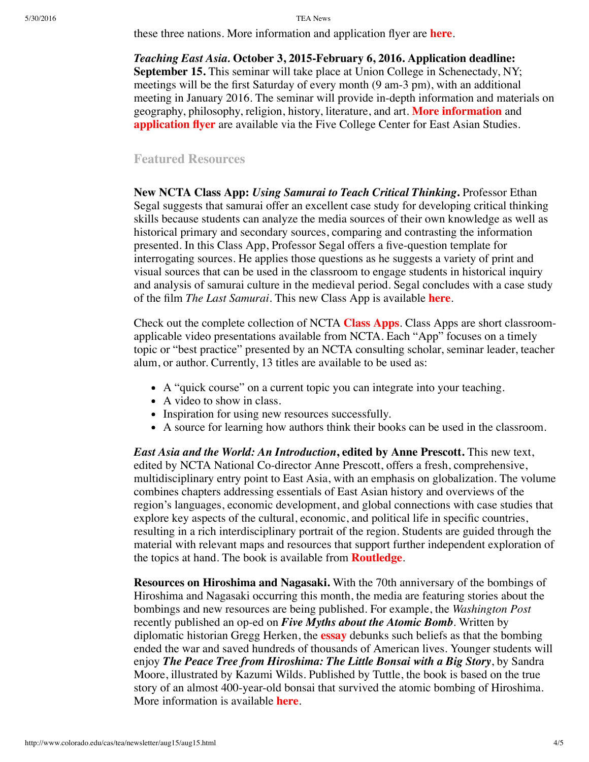#### 5/30/2016 TEA News

these three nations. More information and application flyer are **[here](http://www.ucis.pitt.edu/ncta/ncta-pittsburgh.html)**.

*Teaching East Asia.* **October 3, 2015-February 6, 2016. Application deadline: September 15.** This seminar will take place at Union College in Schenectady, NY; meetings will be the first Saturday of every month (9 am-3 pm), with an additional meeting in January 2016. The seminar will provide in-depth information and materials on geography, philosophy, religion, history, literature, and art. **More [information](https://www.fivecolleges.edu/system/files/NCTA%202015-16%20Schenectady%20UPDATED.pdf)** and **[application](https://www.fivecolleges.edu/system/files/Schenectady%20NY%20NCTA%20Application%20Form%202015-2016%20UPDATED.pdf) flyer** are available via the Five College Center for East Asian Studies.

### <span id="page-3-0"></span>**Featured Resources**

**New NCTA Class App:** *Using Samurai to Teach Critical Thinking***.** Professor Ethan Segal suggests that samurai offer an excellent case study for developing critical thinking skills because students can analyze the media sources of their own knowledge as well as historical primary and secondary sources, comparing and contrasting the information presented. In this Class App, Professor Segal offers a five-question template for interrogating sources. He applies those questions as he suggests a variety of print and visual sources that can be used in the classroom to engage students in historical inquiry and analysis of samurai culture in the medieval period. Segal concludes with a case study of the film *The Last Samurai*. This new Class App is available **[here](http://nctasia.org/resources/class-apps/)**.

Check out the complete collection of NCTA **[Class](http://nctasia.org/resources/class-apps/) Apps**. Class Apps are short classroomapplicable video presentations available from NCTA. Each "App" focuses on a timely topic or "best practice" presented by an NCTA consulting scholar, seminar leader, teacher alum, or author. Currently, 13 titles are available to be used as:

- A "quick course" on a current topic you can integrate into your teaching.
- A video to show in class.
- Inspiration for using new resources successfully.
- A source for learning how authors think their books can be used in the classroom.

*East Asia and the World: An Introduction***, edited by Anne Prescott.** This new text, edited by NCTA National Co-director Anne Prescott, offers a fresh, comprehensive, multidisciplinary entry point to East Asia, with an emphasis on globalization. The volume combines chapters addressing essentials of East Asian history and overviews of the region's languages, economic development, and global connections with case studies that explore key aspects of the cultural, economic, and political life in specific countries, resulting in a rich interdisciplinary portrait of the region. Students are guided through the material with relevant maps and resources that support further independent exploration of the topics at hand. The book is available from **[Routledge](https://www.routledge.com/products/9780765643223)**.

**Resources on Hiroshima and Nagasaki.** With the 70th anniversary of the bombings of Hiroshima and Nagasaki occurring this month, the media are featuring stories about the bombings and new resources are being published. For example, the *Washington Post* recently published an op-ed on *Five Myths about the Atomic Bomb*. Written by diplomatic historian Gregg Herken, the **[essay](https://www.washingtonpost.com/opinions/five-myths-about-the-atomic-bomb/2015/07/31/32dbc15c-3620-11e5-b673-1df005a0fb28_story.html)** debunks such beliefs as that the bombing ended the war and saved hundreds of thousands of American lives. Younger students will enjoy *The Peace Tree from Hiroshima: The Little Bonsai with a Big Story*, by Sandra Moore, illustrated by Kazumi Wilds. Published by Tuttle, the book is based on the true story of an almost 400-year-old bonsai that survived the atomic bombing of Hiroshima. More information is available **[here](http://hiroshimapeacetree.com/)**.